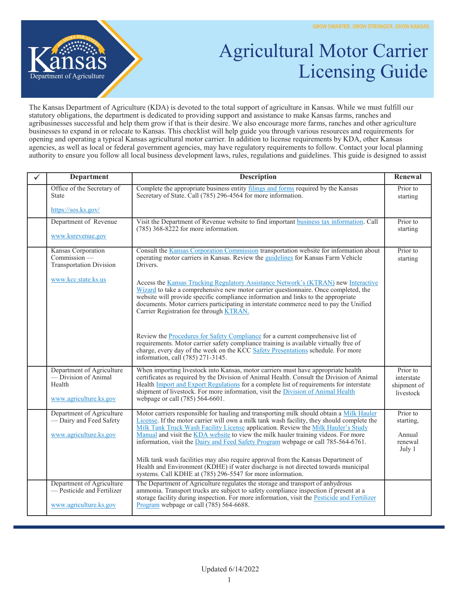

## Agricultural Motor Carrier Licensing Guide

The Kansas Department of Agriculture (KDA) is devoted to the total support of agriculture in Kansas. While we must fulfill our statutory obligations, the department is dedicated to providing support and assistance to make Kansas farms, ranches and agribusinesses successful and help them grow if that is their desire. We also encourage more farms, ranches and other agriculture businesses to expand in or relocate to Kansas. This checklist will help guide you through various resources and requirements for opening and operating a typical Kansas agricultural motor carrier. In addition to license requirements by KDA, other Kansas agencies, as well as local or federal government agencies, may have regulatory requirements to follow. Contact your local planning authority to ensure you follow all local business development laws, rules, regulations and guidelines. This guide is designed to assist

| <b>Department</b>                                                                     | <b>Description</b>                                                                                                                                                                                                                                                                                                                                                                                                                                      | Renewal                                              |
|---------------------------------------------------------------------------------------|---------------------------------------------------------------------------------------------------------------------------------------------------------------------------------------------------------------------------------------------------------------------------------------------------------------------------------------------------------------------------------------------------------------------------------------------------------|------------------------------------------------------|
| Office of the Secretary of<br><b>State</b>                                            | Complete the appropriate business entity filings and forms required by the Kansas<br>Secretary of State. Call (785) 296-4564 for more information.                                                                                                                                                                                                                                                                                                      | Prior to<br>starting                                 |
| https://sos.ks.gov/                                                                   |                                                                                                                                                                                                                                                                                                                                                                                                                                                         |                                                      |
| Department of Revenue                                                                 | Visit the Department of Revenue website to find important business tax information. Call<br>$(785)$ 368-8222 for more information.                                                                                                                                                                                                                                                                                                                      | Prior to<br>starting                                 |
| www.ksrevenue.gov                                                                     |                                                                                                                                                                                                                                                                                                                                                                                                                                                         |                                                      |
| Kansas Corporation<br>$Commission$ —<br><b>Transportation Division</b>                | Consult the Kansas Corporation Commission transportation website for information about<br>operating motor carriers in Kansas. Review the guidelines for Kansas Farm Vehicle<br>Drivers.                                                                                                                                                                                                                                                                 | Prior to<br>starting                                 |
| www.kcc.state.ks.us                                                                   | Access the Kansas Trucking Regulatory Assistance Network's (KTRAN) new Interactive<br>Wizard to take a comprehensive new motor carrier questionnaire. Once completed, the<br>website will provide specific compliance information and links to the appropriate<br>documents. Motor carriers participating in interstate commerce need to pay the Unified<br>Carrier Registration fee through <b>KTRAN</b> .                                             |                                                      |
|                                                                                       | Review the Procedures for Safety Compliance for a current comprehensive list of<br>requirements. Motor carrier safety compliance training is available virtually free of<br>charge, every day of the week on the KCC Safety Presentations schedule. For more<br>information, call (785) 271-3145.                                                                                                                                                       |                                                      |
| Department of Agriculture<br>- Division of Animal<br>Health<br>www.agriculture.ks.gov | When importing livestock into Kansas, motor carriers must have appropriate health<br>certificates as required by the Division of Animal Health. Consult the Division of Animal<br>Health <i>Import</i> and <i>Export Regulations</i> for a complete list of requirements for interstate<br>shipment of livestock. For more information, visit the Division of Animal Health<br>webpage or call (785) 564-6601.                                          | Prior to<br>interstate<br>shipment of<br>livestock   |
| Department of Agriculture<br>- Dairy and Feed Safety<br>www.agriculture.ks.gov        | Motor carriers responsible for hauling and transporting milk should obtain a Milk Hauler<br>License. If the motor carrier will own a milk tank wash facility, they should complete the<br>Milk Tank Truck Wash Facility License application. Review the Milk Hauler's Study<br>Manual and visit the KDA website to view the milk hauler training videos. For more<br>information, visit the Dairy and Feed Safety Program webpage or call 785-564-6761. | Prior to<br>starting,<br>Annual<br>renewal<br>July 1 |
|                                                                                       | Milk tank wash facilities may also require approval from the Kansas Department of<br>Health and Environment (KDHE) if water discharge is not directed towards municipal<br>systems. Call KDHE at (785) 296-5547 for more information.                                                                                                                                                                                                                   |                                                      |
| Department of Agriculture<br>— Pesticide and Fertilizer<br>www.agriculture.ks.gov     | The Department of Agriculture regulates the storage and transport of anhydrous<br>ammonia. Transport trucks are subject to safety compliance inspection if present at a<br>storage facility during inspection. For more information, visit the Pesticide and Fertilizer<br>Program webpage or call (785) 564-6688.                                                                                                                                      |                                                      |